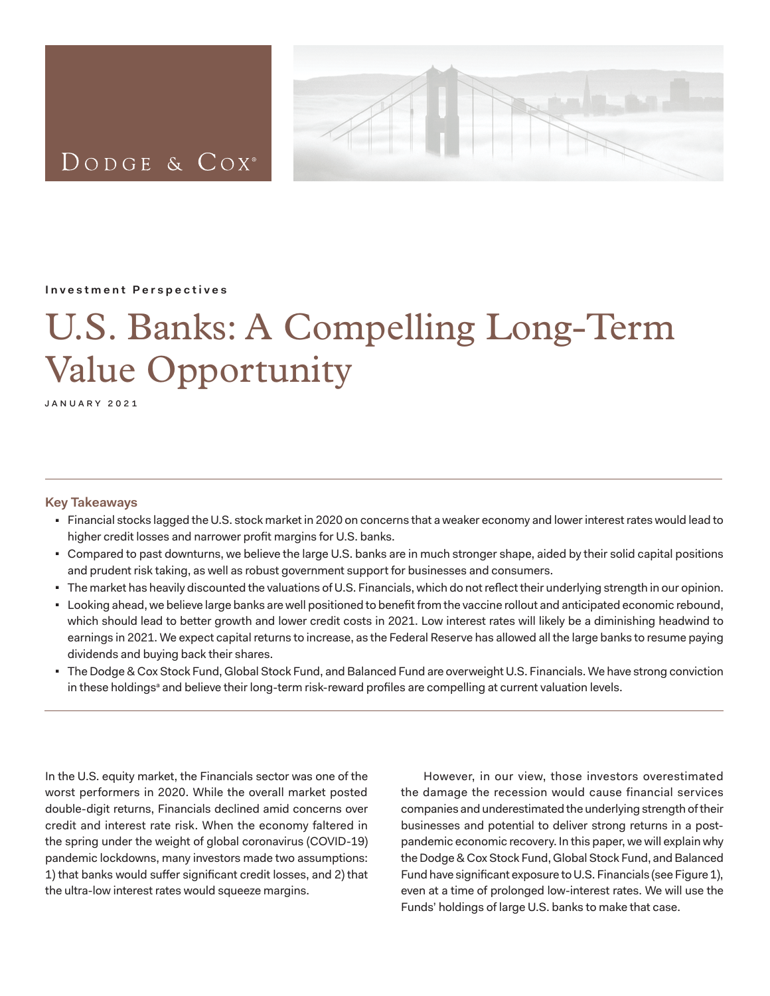

<span id="page-0-0"></span>DODGE & COX<sup>®</sup>

## **Investment Perspectives**

# U.S. Banks: A Compelling Long-Term Value Opportunity

january 2021

## **Key Takeaways**

- Financial stocks lagged the U.S. stock market in 2020 on concerns that a weaker economy and lower interest rates would lead to higher credit losses and narrower profit margins for U.S. banks.
- Compared to past downturns, we believe the large U.S. banks are in much stronger shape, aided by their solid capital positions and prudent risk taking, as well as robust government support for businesses and consumers.
- The market has heavily discounted the valuations of U.S. Financials, which do not reflect their underlying strength in our opinion.
- <sup>◼</sup> Looking ahead, we believe large banks are well positioned to benefit from the vaccine rollout and anticipated economic rebound, which should lead to better growth and lower credit costs in 2021. Low interest rates will likely be a diminishing headwind to earnings in 2021. We expect capital returns to increase, as the Federal Reserve has allowed all the large banks to resume paying dividends and buying back their shares.
- The Dodge & Cox Stock Fund, Global Stock Fund, and Balanced Fund are overweight U.S. Financials. We have strong conviction in these holdings<sup>[a](#page-3-0)</sup> and believe their long-term risk-reward profiles are compelling at current valuation levels.

In the U.S. equity market, the Financials sector was one of the worst performers in 2020. While the overall market posted double-digit returns, Financials declined amid concerns over credit and interest rate risk. When the economy faltered in the spring under the weight of global coronavirus (COVID-19) pandemic lockdowns, many investors made two assumptions: 1) that banks would suffer significant credit losses, and 2) that the ultra-low interest rates would squeeze margins.

However, in our view, those investors overestimated the damage the recession would cause financial services companies and underestimated the underlying strength of their businesses and potential to deliver strong returns in a postpandemic economic recovery. In this paper, we will explain why the Dodge & Cox Stock Fund, Global Stock Fund, and Balanced Fund have significant exposure to U.S. Financials (see Figure 1), even at a time of prolonged low-interest rates. We will use the Funds' holdings of large U.S. banks to make that case.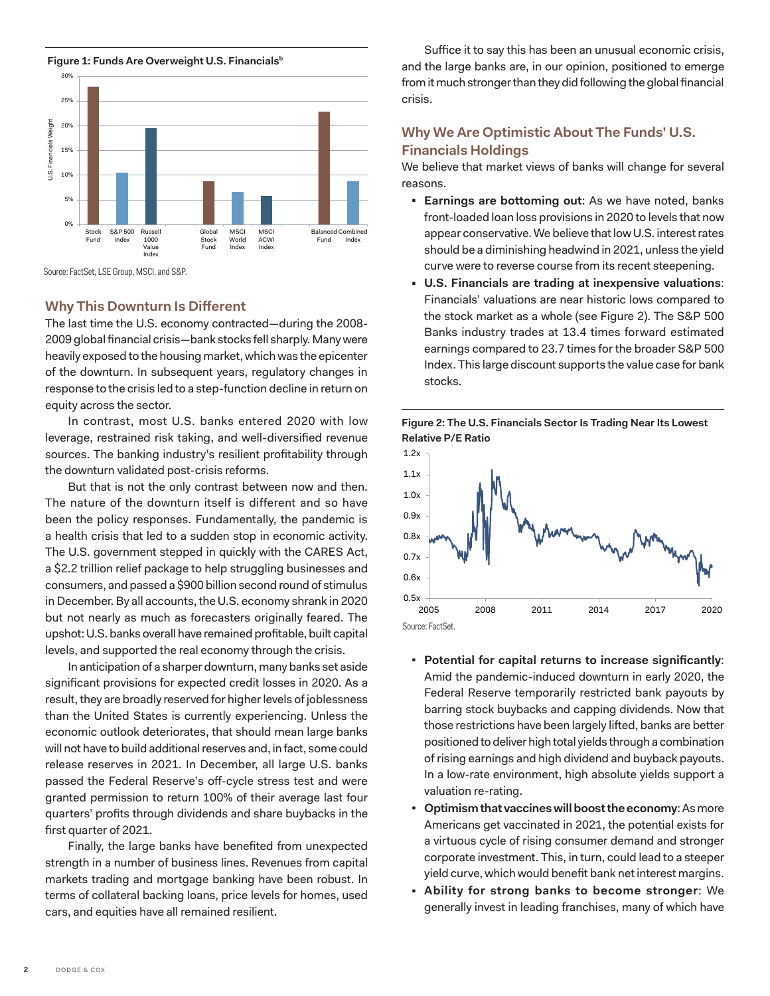<span id="page-1-0"></span>**Figure 1: Funds Are Overweight U.S. Financials**<sup>b</sup>



Source: FactSet, LSE Group, MSCI, and S&P.

## **Why This Downturn Is Different**

The last time the U.S. economy contracted—during the 2008- 2009 global financial crisis—bank stocks fell sharply. Many were heavily exposed to the housing market, which was the epicenter of the downturn. In subsequent years, regulatory changes in response to the crisis led to a step-function decline in return on equity across the sector.

In contrast, most U.S. banks entered 2020 with low leverage, restrained risk taking, and well-diversified revenue sources. The banking industry's resilient profitability through the downturn validated post-crisis reforms.

But that is not the only contrast between now and then. The nature of the downturn itself is different and so have been the policy responses. Fundamentally, the pandemic is a health crisis that led to a sudden stop in economic activity. The U.S. government stepped in quickly with the CARES Act, a \$2.2 trillion relief package to help struggling businesses and consumers, and passed a \$900 billion second round of stimulus in December. By all accounts, the U.S. economy shrank in 2020 but not nearly as much as forecasters originally feared. The upshot: U.S. banks overall have remained profitable, built capital levels, and supported the real economy through the crisis.

In anticipation of a sharper downturn, many banks set aside significant provisions for expected credit losses in 2020. As a result, they are broadly reserved for higher levels of joblessness than the United States is currently experiencing. Unless the economic outlook deteriorates, that should mean large banks will not have to build additional reserves and, in fact, some could release reserves in 2021. In December, all large U.S. banks passed the Federal Reserve's off-cycle stress test and were granted permission to return 100% of their average last four quarters' profits through dividends and share buybacks in the first quarter of 2021.

Finally, the large banks have benefited from unexpected strength in a number of business lines. Revenues from capital markets trading and mortgage banking have been robust. In terms of collateral backing loans, price levels for homes, used cars, and equities have all remained resilient.

Suffice it to say this has been an unusual economic crisis, and the large banks are, in our opinion, positioned to emerge from it much stronger than they did following the global financial crisis.

## **Why We Are Optimistic About The Funds' U.S. Financials Holdings**

We believe that market views of banks will change for several reasons.

- **Earnings are bottoming out:** As we have noted, banks front-loaded loan loss provisions in 2020 to levels that now appear conservative. We believe that low U.S. interest rates should be a diminishing headwind in 2021, unless the yield curve were to reverse course from its recent steepening.
- <sup>◼</sup> **U.S. Financials are trading at inexpensive valuations**: Financials' valuations are near historic lows compared to the stock market as a whole (see Figure 2). The S&P 500 Banks industry trades at 13.4 times forward estimated earnings compared to 23.7 times for the broader S&P 500 Index. This large discount supports the value case for bank stocks.





- <sup>◼</sup> **Potential for capital returns to increase significantly**: Amid the pandemic-induced downturn in early 2020, the Federal Reserve temporarily restricted bank payouts by barring stock buybacks and capping dividends. Now that those restrictions have been largely lifted, banks are better positioned to deliver high total yields through a combination of rising earnings and high dividend and buyback payouts. In a low-rate environment, high absolute yields support a valuation re-rating.
- <sup>◼</sup> **Optimism that vaccines will boost the economy**: As more Americans get vaccinated in 2021, the potential exists for a virtuous cycle of rising consumer demand and stronger corporate investment. This, in turn, could lead to a steeper yield curve, which would benefit bank net interest margins.
- <sup>◼</sup> **Ability for strong banks to become stronger**: We generally invest in leading franchises, many of which have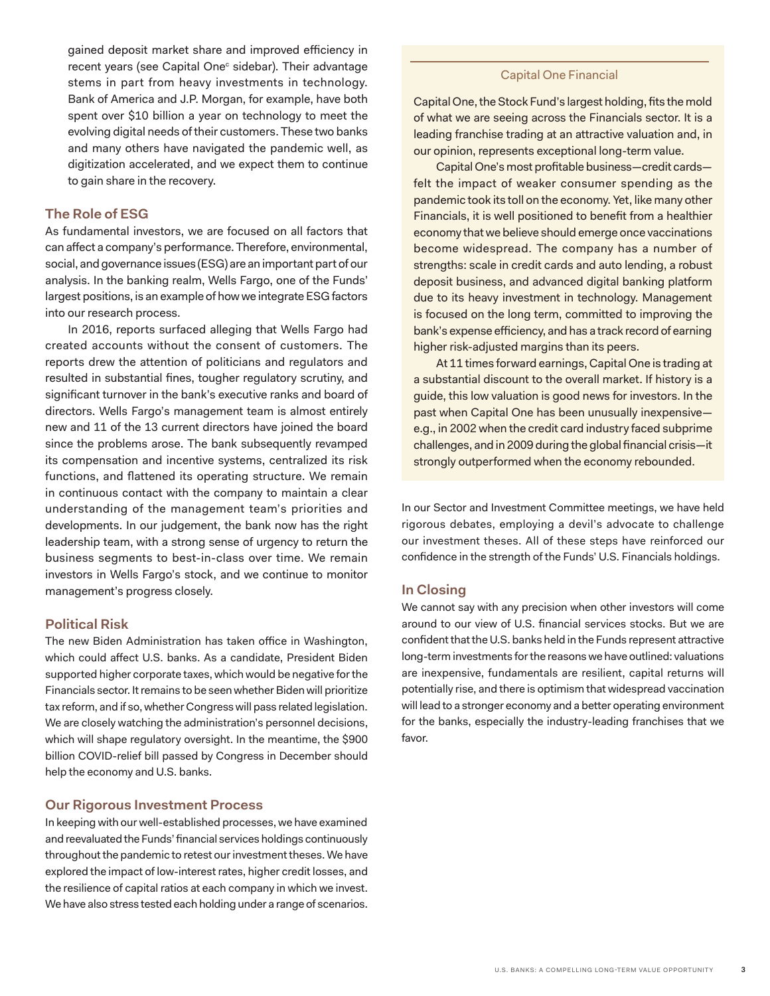<span id="page-2-0"></span>gained deposit market share and improved efficiency in re[c](#page-3-0)ent years (see Capital One<sup>c</sup> sidebar). Their advantage stems in part from heavy investments in technology. Bank of America and J.P. Morgan, for example, have both spent over \$10 billion a year on technology to meet the evolving digital needs of their customers. These two banks and many others have navigated the pandemic well, as digitization accelerated, and we expect them to continue to gain share in the recovery.

## **The Role of ESG**

As fundamental investors, we are focused on all factors that can affect a company's performance. Therefore, environmental, social, and governance issues (ESG) are an important part of our analysis. In the banking realm, Wells Fargo, one of the Funds' largest positions, is an example of how we integrate ESG factors into our research process.

In 2016, reports surfaced alleging that Wells Fargo had created accounts without the consent of customers. The reports drew the attention of politicians and regulators and resulted in substantial fines, tougher regulatory scrutiny, and significant turnover in the bank's executive ranks and board of directors. Wells Fargo's management team is almost entirely new and 11 of the 13 current directors have joined the board since the problems arose. The bank subsequently revamped its compensation and incentive systems, centralized its risk functions, and flattened its operating structure. We remain in continuous contact with the company to maintain a clear understanding of the management team's priorities and developments. In our judgement, the bank now has the right leadership team, with a strong sense of urgency to return the business segments to best-in-class over time. We remain investors in Wells Fargo's stock, and we continue to monitor management's progress closely.

## **Political Risk**

The new Biden Administration has taken office in Washington, which could affect U.S. banks. As a candidate, President Biden supported higher corporate taxes, which would be negative for the Financials sector. It remains to be seen whether Biden will prioritize tax reform, and if so, whether Congress will pass related legislation. We are closely watching the administration's personnel decisions, which will shape regulatory oversight. In the meantime, the \$900 billion COVID-relief bill passed by Congress in December should help the economy and U.S. banks.

## **Our Rigorous Investment Process**

In keeping with our well-established processes, we have examined and reevaluated the Funds' financial services holdings continuously throughout the pandemic to retest our investment theses. We have explored the impact of low-interest rates, higher credit losses, and the resilience of capital ratios at each company in which we invest. We have also stress tested each holding under a range of scenarios.

## Capital One Financial

Capital One, the Stock Fund's largest holding, fits the mold of what we are seeing across the Financials sector. It is a leading franchise trading at an attractive valuation and, in our opinion, represents exceptional long-term value.

Capital One's most profitable business—credit cards felt the impact of weaker consumer spending as the pandemic took its toll on the economy. Yet, like many other Financials, it is well positioned to benefit from a healthier economy that we believe should emerge once vaccinations become widespread. The company has a number of strengths: scale in credit cards and auto lending, a robust deposit business, and advanced digital banking platform due to its heavy investment in technology. Management is focused on the long term, committed to improving the bank's expense efficiency, and has a track record of earning higher risk-adjusted margins than its peers.

At 11 times forward earnings, Capital One is trading at a substantial discount to the overall market. If history is a guide, this low valuation is good news for investors. In the past when Capital One has been unusually inexpensive e.g., in 2002 when the credit card industry faced subprime challenges, and in 2009 during the global financial crisis—it strongly outperformed when the economy rebounded.

In our Sector and Investment Committee meetings, we have held rigorous debates, employing a devil's advocate to challenge our investment theses. All of these steps have reinforced our confidence in the strength of the Funds' U.S. Financials holdings.

#### **In Closing**

We cannot say with any precision when other investors will come around to our view of U.S. financial services stocks. But we are confident that the U.S. banks held in the Funds represent attractive long-term investments for the reasons we have outlined: valuations are inexpensive, fundamentals are resilient, capital returns will potentially rise, and there is optimism that widespread vaccination will lead to a stronger economy and a better operating environment for the banks, especially the industry-leading franchises that we favor.